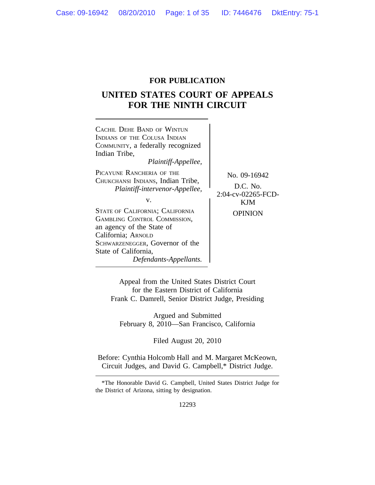# **FOR PUBLICATION**

# **UNITED STATES COURT OF APPEALS FOR THE NINTH CIRCUIT**



Appeal from the United States District Court for the Eastern District of California Frank C. Damrell, Senior District Judge, Presiding

Argued and Submitted February 8, 2010—San Francisco, California

Filed August 20, 2010

Before: Cynthia Holcomb Hall and M. Margaret McKeown, Circuit Judges, and David G. Campbell,\* District Judge.

<sup>\*</sup>The Honorable David G. Campbell, United States District Judge for the District of Arizona, sitting by designation.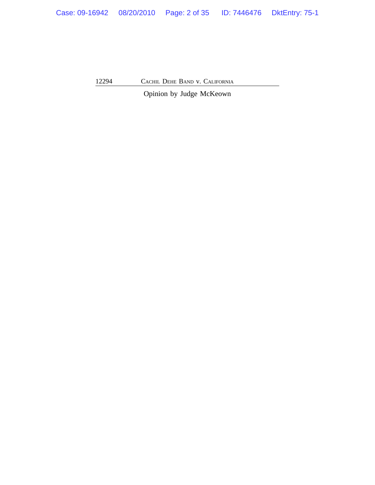Opinion by Judge McKeown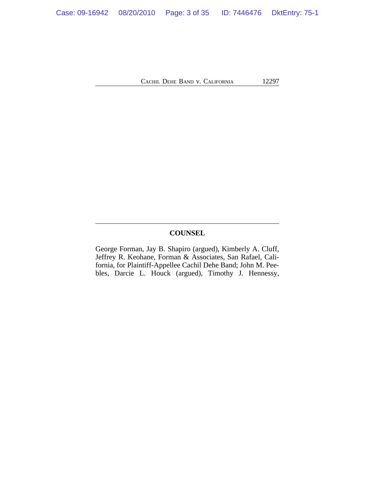# **COUNSEL**

George Forman, Jay B. Shapiro (argued), Kimberly A. Cluff, Jeffrey R. Keohane, Forman & Associates, San Rafael, California, for Plaintiff-Appellee Cachil Dehe Band; John M. Peebles, Darcie L. Houck (argued), Timothy J. Hennessy,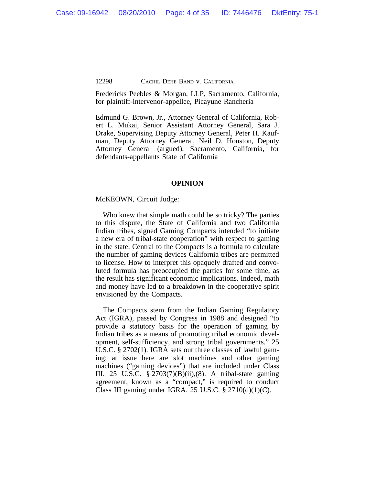Fredericks Peebles & Morgan, LLP, Sacramento, California, for plaintiff-intervenor-appellee, Picayune Rancheria

Edmund G. Brown, Jr., Attorney General of California, Robert L. Mukai, Senior Assistant Attorney General, Sara J. Drake, Supervising Deputy Attorney General, Peter H. Kaufman, Deputy Attorney General, Neil D. Houston, Deputy Attorney General (argued), Sacramento, California, for defendants-appellants State of California

#### **OPINION**

#### McKEOWN, Circuit Judge:

Who knew that simple math could be so tricky? The parties to this dispute, the State of California and two California Indian tribes, signed Gaming Compacts intended "to initiate a new era of tribal-state cooperation" with respect to gaming in the state. Central to the Compacts is a formula to calculate the number of gaming devices California tribes are permitted to license. How to interpret this opaquely drafted and convoluted formula has preoccupied the parties for some time, as the result has significant economic implications. Indeed, math and money have led to a breakdown in the cooperative spirit envisioned by the Compacts.

The Compacts stem from the Indian Gaming Regulatory Act (IGRA), passed by Congress in 1988 and designed "to provide a statutory basis for the operation of gaming by Indian tribes as a means of promoting tribal economic development, self-sufficiency, and strong tribal governments." 25 U.S.C. § 2702(1). IGRA sets out three classes of lawful gaming; at issue here are slot machines and other gaming machines ("gaming devices") that are included under Class III. 25 U.S.C. § 2703(7)(B)(ii),(8). A tribal-state gaming agreement, known as a "compact," is required to conduct Class III gaming under IGRA. 25 U.S.C.  $\S 2710(d)(1)(C)$ .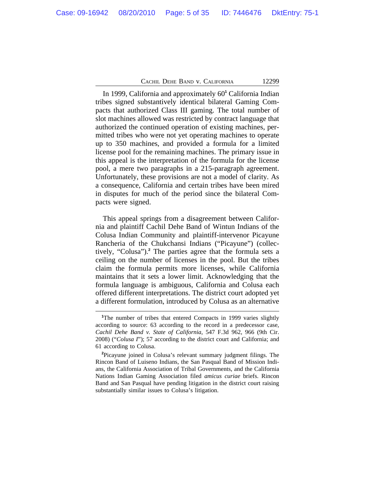In 1999, California and approximately 60**<sup>1</sup>** California Indian tribes signed substantively identical bilateral Gaming Compacts that authorized Class III gaming. The total number of slot machines allowed was restricted by contract language that authorized the continued operation of existing machines, permitted tribes who were not yet operating machines to operate up to 350 machines, and provided a formula for a limited license pool for the remaining machines. The primary issue in this appeal is the interpretation of the formula for the license pool, a mere two paragraphs in a 215-paragraph agreement. Unfortunately, these provisions are not a model of clarity. As a consequence, California and certain tribes have been mired in disputes for much of the period since the bilateral Compacts were signed.

This appeal springs from a disagreement between California and plaintiff Cachil Dehe Band of Wintun Indians of the Colusa Indian Community and plaintiff-intervenor Picayune Rancheria of the Chukchansi Indians ("Picayune") (collectively, "Colusa").**<sup>2</sup>** The parties agree that the formula sets a ceiling on the number of licenses in the pool. But the tribes claim the formula permits more licenses, while California maintains that it sets a lower limit. Acknowledging that the formula language is ambiguous, California and Colusa each offered different interpretations. The district court adopted yet a different formulation, introduced by Colusa as an alternative

<sup>&</sup>lt;sup>1</sup>The number of tribes that entered Compacts in 1999 varies slightly according to source: 63 according to the record in a predecessor case, *Cachil Dehe Band v. State of California*, 547 F.3d 962, 966 (9th Cir. 2008) ("*Colusa I*"); 57 according to the district court and California; and 61 according to Colusa.

**<sup>2</sup>**Picayune joined in Colusa's relevant summary judgment filings. The Rincon Band of Luiseno Indians, the San Pasqual Band of Mission Indians, the California Association of Tribal Governments, and the California Nations Indian Gaming Association filed *amicus curiae* briefs. Rincon Band and San Pasqual have pending litigation in the district court raising substantially similar issues to Colusa's litigation.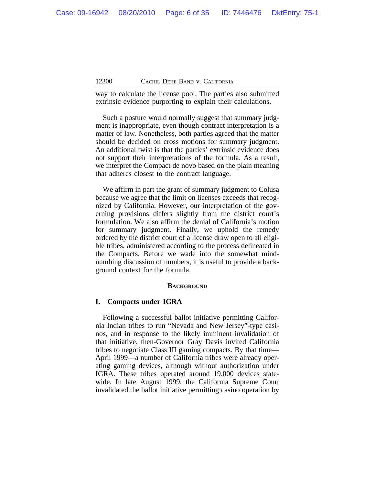way to calculate the license pool. The parties also submitted extrinsic evidence purporting to explain their calculations.

Such a posture would normally suggest that summary judgment is inappropriate, even though contract interpretation is a matter of law. Nonetheless, both parties agreed that the matter should be decided on cross motions for summary judgment. An additional twist is that the parties' extrinsic evidence does not support their interpretations of the formula. As a result, we interpret the Compact de novo based on the plain meaning that adheres closest to the contract language.

We affirm in part the grant of summary judgment to Colusa because we agree that the limit on licenses exceeds that recognized by California. However, our interpretation of the governing provisions differs slightly from the district court's formulation. We also affirm the denial of California's motion for summary judgment. Finally, we uphold the remedy ordered by the district court of a license draw open to all eligible tribes, administered according to the process delineated in the Compacts. Before we wade into the somewhat mindnumbing discussion of numbers, it is useful to provide a background context for the formula.

# **BACKGROUND**

# **I. Compacts under IGRA**

Following a successful ballot initiative permitting California Indian tribes to run "Nevada and New Jersey"-type casinos, and in response to the likely imminent invalidation of that initiative, then-Governor Gray Davis invited California tribes to negotiate Class III gaming compacts. By that time— April 1999—a number of California tribes were already operating gaming devices, although without authorization under IGRA. These tribes operated around 19,000 devices statewide. In late August 1999, the California Supreme Court invalidated the ballot initiative permitting casino operation by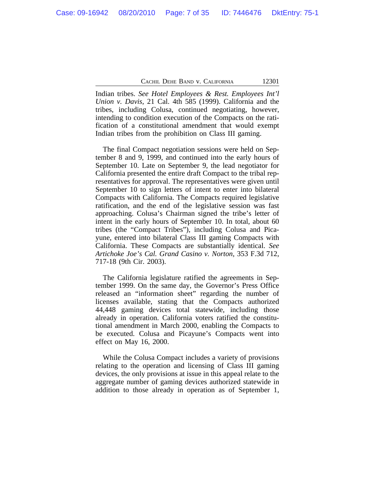Indian tribes. *See Hotel Employees & Rest. Employees Int'l Union v. Davis*, 21 Cal. 4th 585 (1999). California and the tribes, including Colusa, continued negotiating, however, intending to condition execution of the Compacts on the ratification of a constitutional amendment that would exempt Indian tribes from the prohibition on Class III gaming.

The final Compact negotiation sessions were held on September 8 and 9, 1999, and continued into the early hours of September 10. Late on September 9, the lead negotiator for California presented the entire draft Compact to the tribal representatives for approval. The representatives were given until September 10 to sign letters of intent to enter into bilateral Compacts with California. The Compacts required legislative ratification, and the end of the legislative session was fast approaching. Colusa's Chairman signed the tribe's letter of intent in the early hours of September 10. In total, about 60 tribes (the "Compact Tribes"), including Colusa and Picayune, entered into bilateral Class III gaming Compacts with California. These Compacts are substantially identical. *See Artichoke Joe's Cal. Grand Casino v. Norton*, 353 F.3d 712, 717-18 (9th Cir. 2003).

The California legislature ratified the agreements in September 1999. On the same day, the Governor's Press Office released an "information sheet" regarding the number of licenses available, stating that the Compacts authorized 44,448 gaming devices total statewide, including those already in operation. California voters ratified the constitutional amendment in March 2000, enabling the Compacts to be executed. Colusa and Picayune's Compacts went into effect on May 16, 2000.

While the Colusa Compact includes a variety of provisions relating to the operation and licensing of Class III gaming devices, the only provisions at issue in this appeal relate to the aggregate number of gaming devices authorized statewide in addition to those already in operation as of September 1,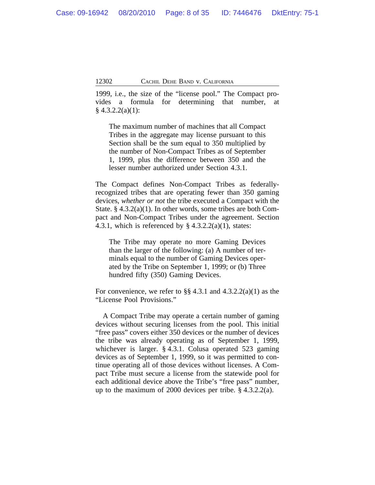1999, i.e., the size of the "license pool." The Compact provides a formula for determining that number, at  $§$  4.3.2.2(a)(1):

The maximum number of machines that all Compact Tribes in the aggregate may license pursuant to this Section shall be the sum equal to 350 multiplied by the number of Non-Compact Tribes as of September 1, 1999, plus the difference between 350 and the lesser number authorized under Section 4.3.1.

The Compact defines Non-Compact Tribes as federallyrecognized tribes that are operating fewer than 350 gaming devices, *whether or not* the tribe executed a Compact with the State. § 4.3.2(a)(1). In other words, some tribes are both Compact and Non-Compact Tribes under the agreement. Section 4.3.1, which is referenced by  $\S$  4.3.2.2(a)(1), states:

The Tribe may operate no more Gaming Devices than the larger of the following: (a) A number of terminals equal to the number of Gaming Devices operated by the Tribe on September 1, 1999; or (b) Three hundred fifty (350) Gaming Devices.

For convenience, we refer to  $\S$  4.3.1 and 4.3.2.2(a)(1) as the "License Pool Provisions."

A Compact Tribe may operate a certain number of gaming devices without securing licenses from the pool. This initial "free pass" covers either 350 devices or the number of devices the tribe was already operating as of September 1, 1999, whichever is larger. § 4.3.1. Colusa operated 523 gaming devices as of September 1, 1999, so it was permitted to continue operating all of those devices without licenses. A Compact Tribe must secure a license from the statewide pool for each additional device above the Tribe's "free pass" number, up to the maximum of 2000 devices per tribe. § 4.3.2.2(a).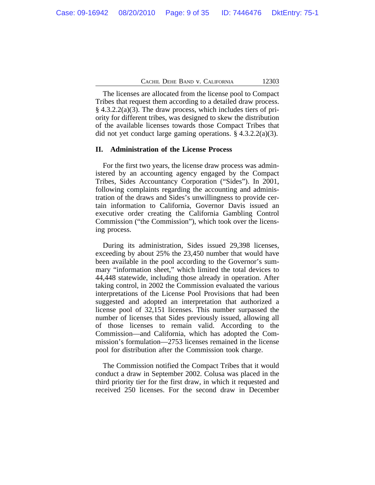The licenses are allocated from the license pool to Compact Tribes that request them according to a detailed draw process.  $§$  4.3.2.2(a)(3). The draw process, which includes tiers of priority for different tribes, was designed to skew the distribution of the available licenses towards those Compact Tribes that did not yet conduct large gaming operations. § 4.3.2.2(a)(3).

#### **II. Administration of the License Process**

For the first two years, the license draw process was administered by an accounting agency engaged by the Compact Tribes, Sides Accountancy Corporation ("Sides"). In 2001, following complaints regarding the accounting and administration of the draws and Sides's unwillingness to provide certain information to California, Governor Davis issued an executive order creating the California Gambling Control Commission ("the Commission"), which took over the licensing process.

During its administration, Sides issued 29,398 licenses, exceeding by about 25% the 23,450 number that would have been available in the pool according to the Governor's summary "information sheet," which limited the total devices to 44,448 statewide, including those already in operation. After taking control, in 2002 the Commission evaluated the various interpretations of the License Pool Provisions that had been suggested and adopted an interpretation that authorized a license pool of 32,151 licenses. This number surpassed the number of licenses that Sides previously issued, allowing all of those licenses to remain valid. According to the Commission—and California, which has adopted the Commission's formulation—2753 licenses remained in the license pool for distribution after the Commission took charge.

The Commission notified the Compact Tribes that it would conduct a draw in September 2002. Colusa was placed in the third priority tier for the first draw, in which it requested and received 250 licenses. For the second draw in December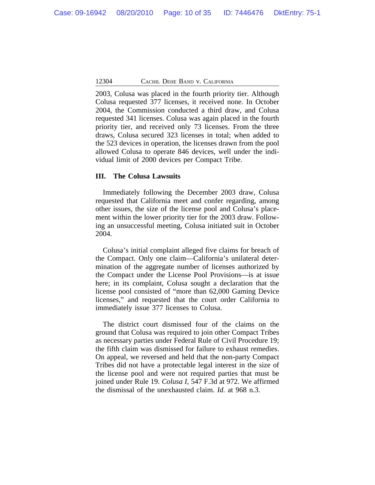2003, Colusa was placed in the fourth priority tier. Although Colusa requested 377 licenses, it received none. In October 2004, the Commission conducted a third draw, and Colusa requested 341 licenses. Colusa was again placed in the fourth priority tier, and received only 73 licenses. From the three draws, Colusa secured 323 licenses in total; when added to the 523 devices in operation, the licenses drawn from the pool allowed Colusa to operate 846 devices, well under the individual limit of 2000 devices per Compact Tribe.

# **III. The Colusa Lawsuits**

Immediately following the December 2003 draw, Colusa requested that California meet and confer regarding, among other issues, the size of the license pool and Colusa's placement within the lower priority tier for the 2003 draw. Following an unsuccessful meeting, Colusa initiated suit in October 2004.

Colusa's initial complaint alleged five claims for breach of the Compact. Only one claim—California's unilateral determination of the aggregate number of licenses authorized by the Compact under the License Pool Provisions—is at issue here; in its complaint, Colusa sought a declaration that the license pool consisted of "more than 62,000 Gaming Device licenses," and requested that the court order California to immediately issue 377 licenses to Colusa.

The district court dismissed four of the claims on the ground that Colusa was required to join other Compact Tribes as necessary parties under Federal Rule of Civil Procedure 19; the fifth claim was dismissed for failure to exhaust remedies. On appeal, we reversed and held that the non-party Compact Tribes did not have a protectable legal interest in the size of the license pool and were not required parties that must be joined under Rule 19. *Colusa I*, 547 F.3d at 972. We affirmed the dismissal of the unexhausted claim. *Id.* at 968 n.3.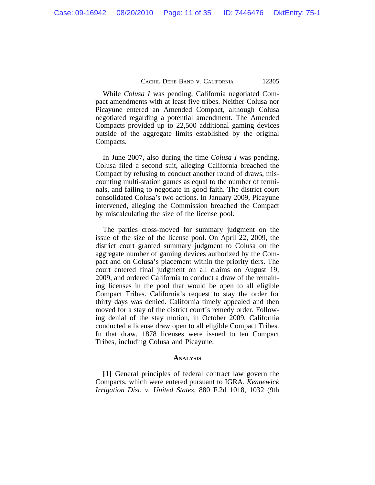While *Colusa I* was pending, California negotiated Compact amendments with at least five tribes. Neither Colusa nor Picayune entered an Amended Compact, although Colusa negotiated regarding a potential amendment. The Amended Compacts provided up to 22,500 additional gaming devices outside of the aggregate limits established by the original Compacts.

In June 2007, also during the time *Colusa I* was pending, Colusa filed a second suit, alleging California breached the Compact by refusing to conduct another round of draws, miscounting multi-station games as equal to the number of terminals, and failing to negotiate in good faith. The district court consolidated Colusa's two actions. In January 2009, Picayune intervened, alleging the Commission breached the Compact by miscalculating the size of the license pool.

The parties cross-moved for summary judgment on the issue of the size of the license pool. On April 22, 2009, the district court granted summary judgment to Colusa on the aggregate number of gaming devices authorized by the Compact and on Colusa's placement within the priority tiers. The court entered final judgment on all claims on August 19, 2009, and ordered California to conduct a draw of the remaining licenses in the pool that would be open to all eligible Compact Tribes. California's request to stay the order for thirty days was denied. California timely appealed and then moved for a stay of the district court's remedy order. Following denial of the stay motion, in October 2009, California conducted a license draw open to all eligible Compact Tribes. In that draw, 1878 licenses were issued to ten Compact Tribes, including Colusa and Picayune.

#### **ANALYSIS**

**[1]** General principles of federal contract law govern the Compacts, which were entered pursuant to IGRA. *Kennewick Irrigation Dist. v. United States*, 880 F.2d 1018, 1032 (9th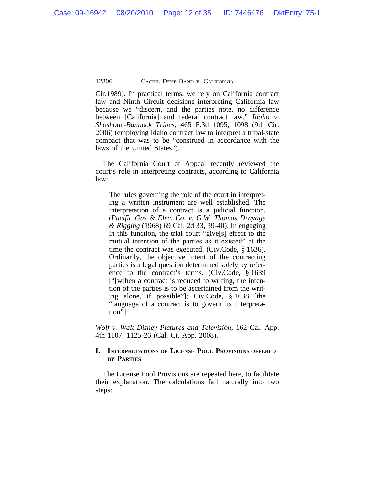Cir.1989). In practical terms, we rely on California contract law and Ninth Circuit decisions interpreting California law because we "discern, and the parties note, no difference between [California] and federal contract law." *Idaho v. Shoshone-Bannock Tribes*, 465 F.3d 1095, 1098 (9th Cir. 2006) (employing Idaho contract law to interpret a tribal-state compact that was to be "construed in accordance with the laws of the United States").

The California Court of Appeal recently reviewed the court's role in interpreting contracts, according to California law:

The rules governing the role of the court in interpreting a written instrument are well established. The interpretation of a contract is a judicial function. (*Pacific Gas & Elec. Co. v. G.W. Thomas Drayage & Rigging* (1968) 69 Cal. 2d 33, 39-40). In engaging in this function, the trial court "give[s] effect to the mutual intention of the parties as it existed" at the time the contract was executed. (Civ.Code, § 1636). Ordinarily, the objective intent of the contracting parties is a legal question determined solely by reference to the contract's terms. (Civ.Code, § 1639 ["[w]hen a contract is reduced to writing, the intention of the parties is to be ascertained from the writing alone, if possible"]; Civ.Code, § 1638 [the "language of a contract is to govern its interpretation"].

*Wolf v. Walt Disney Pictures and Television*, 162 Cal. App. 4th 1107, 1125-26 (Cal. Ct. App. 2008).

# **I. INTERPRETATIONS OF LICENSE POOL PROVISIONS OFFERED BY PARTIES**

The License Pool Provisions are repeated here, to facilitate their explanation. The calculations fall naturally into two steps: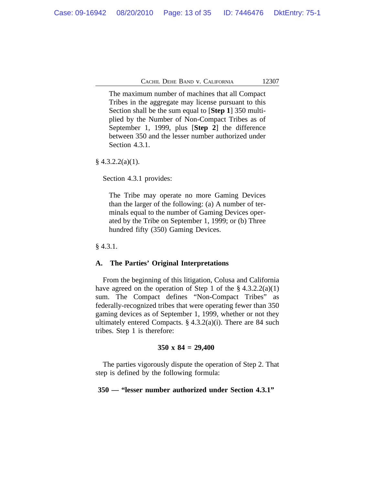The maximum number of machines that all Compact Tribes in the aggregate may license pursuant to this Section shall be the sum equal to [**Step 1**] 350 multiplied by the Number of Non-Compact Tribes as of September 1, 1999, plus [**Step 2**] the difference between 350 and the lesser number authorized under Section 4.3.1.

 $§$  4.3.2.2(a)(1).

Section 4.3.1 provides:

The Tribe may operate no more Gaming Devices than the larger of the following: (a) A number of terminals equal to the number of Gaming Devices operated by the Tribe on September 1, 1999; or (b) Three hundred fifty (350) Gaming Devices.

§ 4.3.1.

### **A. The Parties' Original Interpretations**

From the beginning of this litigation, Colusa and California have agreed on the operation of Step 1 of the  $\S 4.3.2.2(a)(1)$ sum. The Compact defines "Non-Compact Tribes" as federally-recognized tribes that were operating fewer than 350 gaming devices as of September 1, 1999, whether or not they ultimately entered Compacts.  $\S$  4.3.2(a)(i). There are 84 such tribes. Step 1 is therefore:

#### **350 x 84 = 29,400**

The parties vigorously dispute the operation of Step 2. That step is defined by the following formula:

#### **350 — "lesser number authorized under Section 4.3.1"**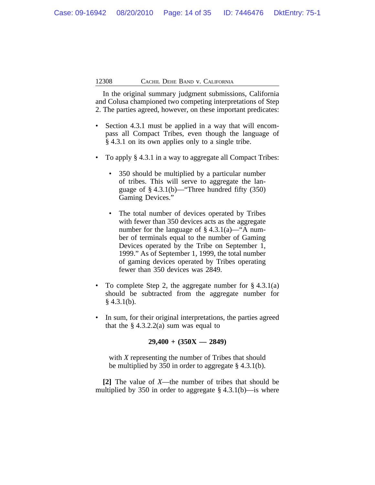In the original summary judgment submissions, California and Colusa championed two competing interpretations of Step 2. The parties agreed, however, on these important predicates:

- Section 4.3.1 must be applied in a way that will encompass all Compact Tribes, even though the language of § 4.3.1 on its own applies only to a single tribe.
- To apply § 4.3.1 in a way to aggregate all Compact Tribes:
	- 350 should be multiplied by a particular number of tribes. This will serve to aggregate the language of  $§$  4.3.1(b)—"Three hundred fifty (350) Gaming Devices."
	- The total number of devices operated by Tribes with fewer than 350 devices acts as the aggregate number for the language of  $\S$  4.3.1(a)—"A number of terminals equal to the number of Gaming Devices operated by the Tribe on September 1, 1999." As of September 1, 1999, the total number of gaming devices operated by Tribes operating fewer than 350 devices was 2849.
- To complete Step 2, the aggregate number for  $\S 4.3.1(a)$ should be subtracted from the aggregate number for  $§$  4.3.1(b).
- In sum, for their original interpretations, the parties agreed that the  $\S 4.3.2.2(a)$  sum was equal to

**29,400 + (350X — 2849)**

with *X* representing the number of Tribes that should be multiplied by 350 in order to aggregate § 4.3.1(b).

**[2]** The value of *X*—the number of tribes that should be multiplied by 350 in order to aggregate  $\S$  4.3.1(b)—is where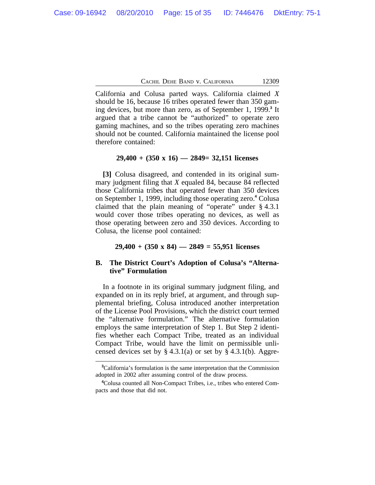California and Colusa parted ways. California claimed *X* should be 16, because 16 tribes operated fewer than 350 gaming devices, but more than zero, as of September 1, 1999.**<sup>3</sup>** It argued that a tribe cannot be "authorized" to operate zero gaming machines, and so the tribes operating zero machines should not be counted. California maintained the license pool therefore contained:

#### **29,400 + (350 x 16) — 2849= 32,151 licenses**

**[3]** Colusa disagreed, and contended in its original summary judgment filing that *X* equaled 84, because 84 reflected those California tribes that operated fewer than 350 devices on September 1, 1999, including those operating zero.**<sup>4</sup>** Colusa claimed that the plain meaning of "operate" under § 4.3.1 would cover those tribes operating no devices, as well as those operating between zero and 350 devices. According to Colusa, the license pool contained:

#### **29,400 + (350 x 84) — 2849 = 55,951 licenses**

# **B. The District Court's Adoption of Colusa's "Alternative" Formulation**

In a footnote in its original summary judgment filing, and expanded on in its reply brief, at argument, and through supplemental briefing, Colusa introduced another interpretation of the License Pool Provisions, which the district court termed the "alternative formulation." The alternative formulation employs the same interpretation of Step 1. But Step 2 identifies whether each Compact Tribe, treated as an individual Compact Tribe, would have the limit on permissible unlicensed devices set by  $\S 4.3.1(a)$  or set by  $\S 4.3.1(b)$ . Aggre-

**<sup>3</sup>**California's formulation is the same interpretation that the Commission adopted in 2002 after assuming control of the draw process.

**<sup>4</sup>**Colusa counted all Non-Compact Tribes, i.e., tribes who entered Compacts and those that did not.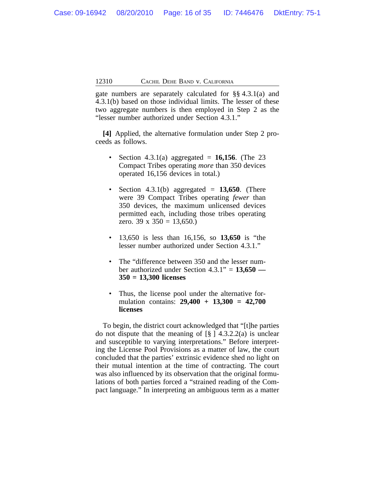gate numbers are separately calculated for §§ 4.3.1(a) and 4.3.1(b) based on those individual limits. The lesser of these two aggregate numbers is then employed in Step 2 as the "lesser number authorized under Section 4.3.1."

**[4]** Applied, the alternative formulation under Step 2 proceeds as follows.

- Section 4.3.1(a) aggregated  $= 16,156$ . (The 23 Compact Tribes operating *more* than 350 devices operated 16,156 devices in total.)
- Section  $4.3.1(b)$  aggregated =  $13,650$ . (There were 39 Compact Tribes operating *fewer* than 350 devices, the maximum unlicensed devices permitted each, including those tribes operating zero. 39 x 350 = 13,650.)
- 13,650 is less than 16,156, so **13,650** is "the lesser number authorized under Section 4.3.1."
- The "difference between 350 and the lesser number authorized under Section 4.3.1" = **13,650 — 350 = 13,300 licenses**
- Thus, the license pool under the alternative formulation contains: **29,400 + 13,300 = 42,700 licenses**

To begin, the district court acknowledged that "[t]he parties do not dispute that the meaning of  $\lceil \frac{8}{9} \rceil$  4.3.2.2(a) is unclear and susceptible to varying interpretations." Before interpreting the License Pool Provisions as a matter of law, the court concluded that the parties' extrinsic evidence shed no light on their mutual intention at the time of contracting. The court was also influenced by its observation that the original formulations of both parties forced a "strained reading of the Compact language." In interpreting an ambiguous term as a matter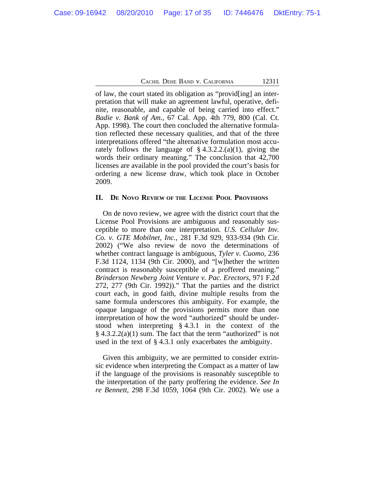of law, the court stated its obligation as "provid[ing] an interpretation that will make an agreement lawful, operative, definite, reasonable, and capable of being carried into effect." *Badie v. Bank of Am.*, 67 Cal. App. 4th 779, 800 (Cal. Ct. App. 1998). The court then concluded the alternative formulation reflected these necessary qualities, and that of the three interpretations offered "the alternative formulation most accurately follows the language of  $\S$  4.3.2.2.(a)(1), giving the words their ordinary meaning." The conclusion that 42,700 licenses are available in the pool provided the court's basis for ordering a new license draw, which took place in October 2009.

#### **II. DE NOVO REVIEW OF THE LICENSE POOL PROVISIONS**

On de novo review, we agree with the district court that the License Pool Provisions are ambiguous and reasonably susceptible to more than one interpretation. *U.S. Cellular Inv. Co. v. GTE Mobilnet, Inc.*, 281 F.3d 929, 933-934 (9th Cir. 2002) ("We also review de novo the determinations of whether contract language is ambiguous, *Tyler v. Cuomo,* 236 F.3d 1124, 1134 (9th Cir. 2000), and "[w]hether the written contract is reasonably susceptible of a proffered meaning." *Brinderson Newberg Joint Venture v. Pac. Erectors*, 971 F.2d 272, 277 (9th Cir. 1992))." That the parties and the district court each, in good faith, divine multiple results from the same formula underscores this ambiguity. For example, the opaque language of the provisions permits more than one interpretation of how the word "authorized" should be understood when interpreting § 4.3.1 in the context of the  $§$  4.3.2.2(a)(1) sum. The fact that the term "authorized" is not used in the text of § 4.3.1 only exacerbates the ambiguity.

Given this ambiguity, we are permitted to consider extrinsic evidence when interpreting the Compact as a matter of law if the language of the provisions is reasonably susceptible to the interpretation of the party proffering the evidence. *See In re Bennett*, 298 F.3d 1059, 1064 (9th Cir. 2002). We use a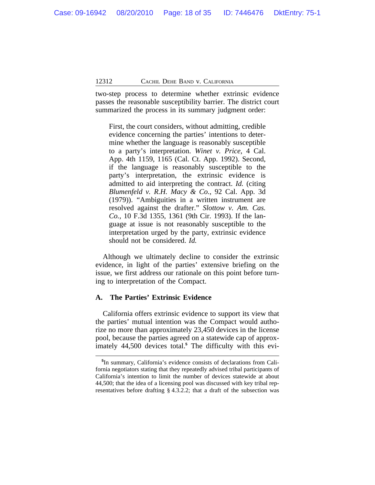two-step process to determine whether extrinsic evidence passes the reasonable susceptibility barrier. The district court summarized the process in its summary judgment order:

First, the court considers, without admitting, credible evidence concerning the parties' intentions to determine whether the language is reasonably susceptible to a party's interpretation. *Winet v. Price*, 4 Cal. App. 4th 1159, 1165 (Cal. Ct. App. 1992). Second, if the language is reasonably susceptible to the party's interpretation, the extrinsic evidence is admitted to aid interpreting the contract. *Id.* (citing *Blumenfeld v. R.H. Macy & Co.*, 92 Cal. App. 3d (1979)). "Ambiguities in a written instrument are resolved against the drafter." *Slottow v. Am. Cas. Co.*, 10 F.3d 1355, 1361 (9th Cir. 1993). If the language at issue is not reasonably susceptible to the interpretation urged by the party, extrinsic evidence should not be considered. *Id.*

Although we ultimately decline to consider the extrinsic evidence, in light of the parties' extensive briefing on the issue, we first address our rationale on this point before turning to interpretation of the Compact.

# **A. The Parties' Extrinsic Evidence**

California offers extrinsic evidence to support its view that the parties' mutual intention was the Compact would authorize no more than approximately 23,450 devices in the license pool, because the parties agreed on a statewide cap of approximately 44,500 devices total.**<sup>5</sup>** The difficulty with this evi-

**<sup>5</sup>** In summary, California's evidence consists of declarations from California negotiators stating that they repeatedly advised tribal participants of California's intention to limit the number of devices statewide at about 44,500; that the idea of a licensing pool was discussed with key tribal representatives before drafting § 4.3.2.2; that a draft of the subsection was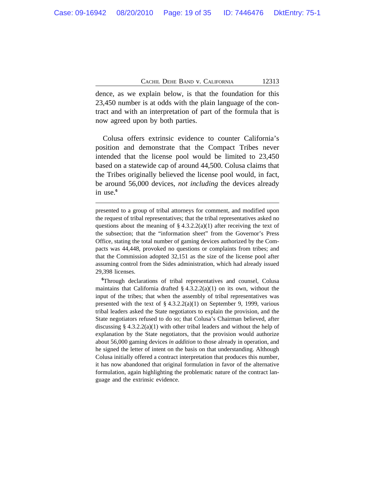dence, as we explain below, is that the foundation for this 23,450 number is at odds with the plain language of the contract and with an interpretation of part of the formula that is now agreed upon by both parties.

Colusa offers extrinsic evidence to counter California's position and demonstrate that the Compact Tribes never intended that the license pool would be limited to 23,450 based on a statewide cap of around 44,500. Colusa claims that the Tribes originally believed the license pool would, in fact, be around 56,000 devices, *not including* the devices already in use.**<sup>6</sup>**

**<sup>6</sup>**Through declarations of tribal representatives and counsel, Colusa maintains that California drafted  $\S 4.3.2.2(a)(1)$  on its own, without the input of the tribes; that when the assembly of tribal representatives was presented with the text of  $\S 4.3.2.2(a)(1)$  on September 9, 1999, various tribal leaders asked the State negotiators to explain the provision, and the State negotiators refused to do so; that Colusa's Chairman believed, after discussing §  $4.3.2.2(a)(1)$  with other tribal leaders and without the help of explanation by the State negotiators, that the provision would authorize about 56,000 gaming devices *in addition* to those already in operation, and he signed the letter of intent on the basis on that understanding. Although Colusa initially offered a contract interpretation that produces this number, it has now abandoned that original formulation in favor of the alternative formulation, again highlighting the problematic nature of the contract language and the extrinsic evidence.

presented to a group of tribal attorneys for comment, and modified upon the request of tribal representatives; that the tribal representatives asked no questions about the meaning of  $\S 4.3.2.2(a)(1)$  after receiving the text of the subsection; that the "information sheet" from the Governor's Press Office, stating the total number of gaming devices authorized by the Compacts was 44,448, provoked no questions or complaints from tribes; and that the Commission adopted 32,151 as the size of the license pool after assuming control from the Sides administration, which had already issued 29,398 licenses.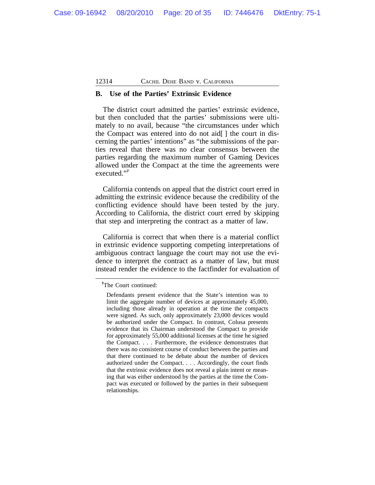#### **B. Use of the Parties' Extrinsic Evidence**

The district court admitted the parties' extrinsic evidence, but then concluded that the parties' submissions were ultimately to no avail, because "the circumstances under which the Compact was entered into do not aid[ ] the court in discerning the parties' intentions" as "the submissions of the parties reveal that there was no clear consensus between the parties regarding the maximum number of Gaming Devices allowed under the Compact at the time the agreements were executed." **7**

California contends on appeal that the district court erred in admitting the extrinsic evidence because the credibility of the conflicting evidence should have been tested by the jury. According to California, the district court erred by skipping that step and interpreting the contract as a matter of law.

California is correct that when there is a material conflict in extrinsic evidence supporting competing interpretations of ambiguous contract language the court may not use the evidence to interpret the contract as a matter of law, but must instead render the evidence to the factfinder for evaluation of

**<sup>7</sup>**The Court continued:

Defendants present evidence that the State's intention was to limit the aggregate number of devices at approximately 45,000, including those already in operation at the time the compacts were signed. As such, only approximately 23,000 devices would be authorized under the Compact. In contrast, Colusa presents evidence that its Chairman understood the Compact to provide for approximately 55,000 additional licenses at the time he signed the Compact. . . . Furthermore, the evidence demonstrates that there was no consistent course of conduct between the parties and that there continued to be debate about the number of devices authorized under the Compact. . . . Accordingly, the court finds that the extrinsic evidence does not reveal a plain intent or meaning that was either understood by the parties at the time the Compact was executed or followed by the parties in their subsequent relationships.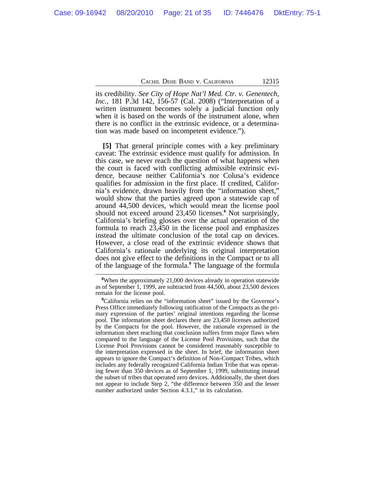its credibility. *See City of Hope Nat'l Med. Ctr. v. Genentech, Inc.*, 181 P.3d 142, 156-57 (Cal. 2008) ("Interpretation of a written instrument becomes solely a judicial function only when it is based on the words of the instrument alone, when there is no conflict in the extrinsic evidence, or a determination was made based on incompetent evidence.").

**[5]** That general principle comes with a key preliminary caveat: The extrinsic evidence must qualify for admission. In this case, we never reach the question of what happens when the court is faced with conflicting admissible extrinsic evidence, because neither California's nor Colusa's evidence qualifies for admission in the first place. If credited, California's evidence, drawn heavily from the "information sheet," would show that the parties agreed upon a statewide cap of around 44,500 devices, which would mean the license pool should not exceed around 23,450 licenses.**<sup>8</sup>** Not surprisingly, California's briefing glosses over the actual operation of the formula to reach 23,450 in the license pool and emphasizes instead the ultimate conclusion of the total cap on devices. However, a close read of the extrinsic evidence shows that California's rationale underlying its original interpretation does not give effect to the definitions in the Compact or to all of the language of the formula.**<sup>9</sup>** The language of the formula

**<sup>8</sup>**When the approximately 21,000 devices already in operation statewide as of September 1, 1999, are subtracted from 44,500, about 23,500 devices remain for the license pool.

<sup>&</sup>lt;sup>9</sup>California relies on the "information sheet" issued by the Governor's Press Office immediately following ratification of the Compacts as the primary expression of the parties' original intentions regarding the license pool. The information sheet declares there are 23,450 licenses authorized by the Compacts for the pool. However, the rationale expressed in the information sheet reaching that conclusion suffers from major flaws when compared to the language of the License Pool Provisions, such that the License Pool Provisions cannot be considered reasonably susceptible to the interpretation expressed in the sheet. In brief, the information sheet appears to ignore the Compact's definition of Non-Compact Tribes, which includes any federally recognized California Indian Tribe that was operating fewer than 350 devices as of September 1, 1999, substituting instead the subset of tribes that operated zero devices. Additionally, the sheet does not appear to include Step 2, "the difference between 350 and the lesser number authorized under Section 4.3.1," in its calculation.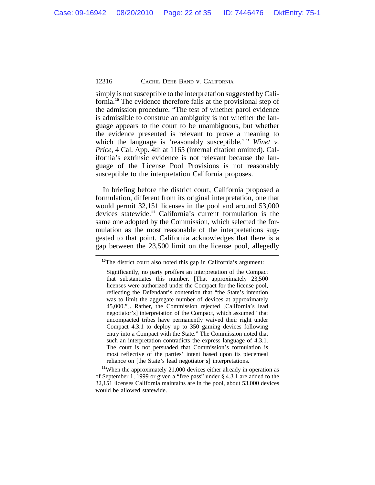simply is not susceptible to the interpretation suggested by California.**<sup>10</sup>** The evidence therefore fails at the provisional step of the admission procedure. "The test of whether parol evidence is admissible to construe an ambiguity is not whether the language appears to the court to be unambiguous, but whether the evidence presented is relevant to prove a meaning to which the language is 'reasonably susceptible.' " *Winet v. Price*, 4 Cal. App. 4th at 1165 (internal citation omitted). California's extrinsic evidence is not relevant because the language of the License Pool Provisions is not reasonably susceptible to the interpretation California proposes.

In briefing before the district court, California proposed a formulation, different from its original interpretation, one that would permit 32,151 licenses in the pool and around 53,000 devices statewide.**<sup>11</sup>** California's current formulation is the same one adopted by the Commission, which selected the formulation as the most reasonable of the interpretations suggested to that point. California acknowledges that there is a gap between the 23,500 limit on the license pool, allegedly

**<sup>11</sup>**When the approximately 21,000 devices either already in operation as of September 1, 1999 or given a "free pass" under § 4.3.1 are added to the 32,151 licenses California maintains are in the pool, about 53,000 devices would be allowed statewide.

**<sup>10</sup>**The district court also noted this gap in California's argument:

Significantly, no party proffers an interpretation of the Compact that substantiates this number. [That approximately 23,500 licenses were authorized under the Compact for the license pool, reflecting the Defendant's contention that "the State's intention was to limit the aggregate number of devices at approximately 45,000."]. Rather, the Commission rejected [California's lead negotiator's] interpretation of the Compact, which assumed "that uncompacted tribes have permanently waived their right under Compact 4.3.1 to deploy up to 350 gaming devices following entry into a Compact with the State." The Commission noted that such an interpretation contradicts the express language of 4.3.1. The court is not persuaded that Commission's formulation is most reflective of the parties' intent based upon its piecemeal reliance on [the State's lead negotiator's] interpretations.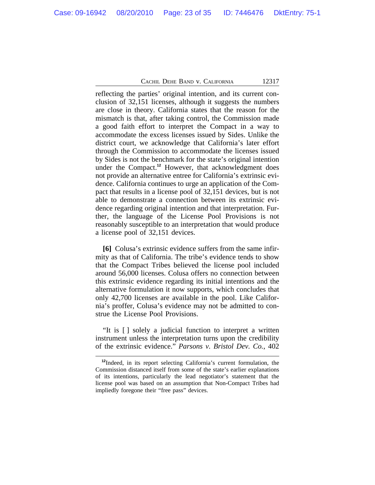reflecting the parties' original intention, and its current conclusion of 32,151 licenses, although it suggests the numbers are close in theory. California states that the reason for the mismatch is that, after taking control, the Commission made a good faith effort to interpret the Compact in a way to accommodate the excess licenses issued by Sides. Unlike the district court, we acknowledge that California's later effort through the Commission to accommodate the licenses issued by Sides is not the benchmark for the state's original intention under the Compact.**<sup>12</sup>** However, that acknowledgment does not provide an alternative entree for California's extrinsic evidence. California continues to urge an application of the Compact that results in a license pool of 32,151 devices, but is not able to demonstrate a connection between its extrinsic evidence regarding original intention and that interpretation. Further, the language of the License Pool Provisions is not reasonably susceptible to an interpretation that would produce a license pool of 32,151 devices.

**[6]** Colusa's extrinsic evidence suffers from the same infirmity as that of California. The tribe's evidence tends to show that the Compact Tribes believed the license pool included around 56,000 licenses. Colusa offers no connection between this extrinsic evidence regarding its initial intentions and the alternative formulation it now supports, which concludes that only 42,700 licenses are available in the pool. Like California's proffer, Colusa's evidence may not be admitted to construe the License Pool Provisions.

"It is [ ] solely a judicial function to interpret a written instrument unless the interpretation turns upon the credibility of the extrinsic evidence." *Parsons v. Bristol Dev. Co.*, 402

**<sup>12</sup>**Indeed, in its report selecting California's current formulation, the Commission distanced itself from some of the state's earlier explanations of its intentions, particularly the lead negotiator's statement that the license pool was based on an assumption that Non-Compact Tribes had impliedly foregone their "free pass" devices.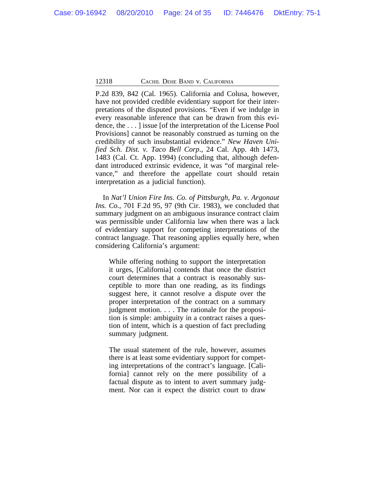P.2d 839, 842 (Cal. 1965). California and Colusa, however, have not provided credible evidentiary support for their interpretations of the disputed provisions. "Even if we indulge in every reasonable inference that can be drawn from this evidence, the . . . ] issue [of the interpretation of the License Pool Provisions] cannot be reasonably construed as turning on the credibility of such insubstantial evidence." *New Haven Unified Sch. Dist. v. Taco Bell Corp*., 24 Cal. App. 4th 1473, 1483 (Cal. Ct. App. 1994) (concluding that, although defendant introduced extrinsic evidence, it was "of marginal relevance," and therefore the appellate court should retain interpretation as a judicial function).

In *Nat'l Union Fire Ins. Co. of Pittsburgh, Pa. v. Argonaut Ins. Co.*, 701 F.2d 95, 97 (9th Cir. 1983), we concluded that summary judgment on an ambiguous insurance contract claim was permissible under California law when there was a lack of evidentiary support for competing interpretations of the contract language. That reasoning applies equally here, when considering California's argument:

While offering nothing to support the interpretation it urges, [California] contends that once the district court determines that a contract is reasonably susceptible to more than one reading, as its findings suggest here, it cannot resolve a dispute over the proper interpretation of the contract on a summary judgment motion. . . . The rationale for the proposition is simple: ambiguity in a contract raises a question of intent, which is a question of fact precluding summary judgment.

The usual statement of the rule, however, assumes there is at least some evidentiary support for competing interpretations of the contract's language. [California] cannot rely on the mere possibility of a factual dispute as to intent to avert summary judgment. Nor can it expect the district court to draw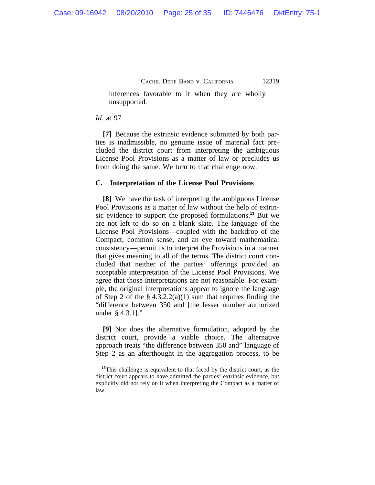inferences favorable to it when they are wholly unsupported.

#### *Id.* at 97.

**[7]** Because the extrinsic evidence submitted by both parties is inadmissible, no genuine issue of material fact precluded the district court from interpreting the ambiguous License Pool Provisions as a matter of law or precludes us from doing the same. We turn to that challenge now.

#### **C. Interpretation of the License Pool Provisions**

**[8]** We have the task of interpreting the ambiguous License Pool Provisions as a matter of law without the help of extrinsic evidence to support the proposed formulations.**<sup>13</sup>** But we are not left to do so on a blank slate. The language of the License Pool Provisions—coupled with the backdrop of the Compact, common sense, and an eye toward mathematical consistency—permit us to interpret the Provisions in a manner that gives meaning to all of the terms. The district court concluded that neither of the parties' offerings provided an acceptable interpretation of the License Pool Provisions. We agree that those interpretations are not reasonable. For example, the original interpretations appear to ignore the language of Step 2 of the  $\S 4.3.2.2(a)(1)$  sum that requires finding the "difference between 350 and [the lesser number authorized under § 4.3.1]."

**[9]** Nor does the alternative formulation, adopted by the district court, provide a viable choice. The alternative approach treats "the difference between 350 and" language of Step 2 as an afterthought in the aggregation process, to be

**<sup>13</sup>**This challenge is equivalent to that faced by the district court, as the district court appears to have admitted the parties' extrinsic evidence, but explicitly did not rely on it when interpreting the Compact as a matter of law.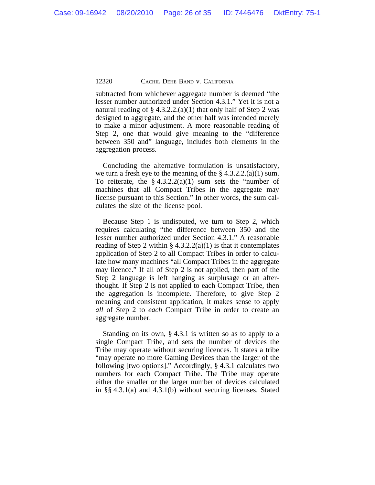subtracted from whichever aggregate number is deemed "the lesser number authorized under Section 4.3.1." Yet it is not a natural reading of  $\S 4.3.2.2(a)(1)$  that only half of Step 2 was designed to aggregate, and the other half was intended merely to make a minor adjustment. A more reasonable reading of Step 2, one that would give meaning to the "difference between 350 and" language, includes both elements in the aggregation process.

Concluding the alternative formulation is unsatisfactory, we turn a fresh eye to the meaning of the  $\S 4.3.2.2(a)(1)$  sum. To reiterate, the  $\S 4.3.2.2(a)(1)$  sum sets the "number of machines that all Compact Tribes in the aggregate may license pursuant to this Section." In other words, the sum calculates the size of the license pool.

Because Step 1 is undisputed, we turn to Step 2, which requires calculating "the difference between 350 and the lesser number authorized under Section 4.3.1." A reasonable reading of Step 2 within §  $4.3.2.2(a)(1)$  is that it contemplates application of Step 2 to all Compact Tribes in order to calculate how many machines "all Compact Tribes in the aggregate may licence." If all of Step 2 is not applied, then part of the Step 2 language is left hanging as surplusage or an afterthought. If Step 2 is not applied to each Compact Tribe, then the aggregation is incomplete. Therefore, to give Step 2 meaning and consistent application, it makes sense to apply *all* of Step 2 to *each* Compact Tribe in order to create an aggregate number.

Standing on its own, § 4.3.1 is written so as to apply to a single Compact Tribe, and sets the number of devices the Tribe may operate without securing licences. It states a tribe "may operate no more Gaming Devices than the larger of the following [two options]." Accordingly, § 4.3.1 calculates two numbers for each Compact Tribe. The Tribe may operate either the smaller or the larger number of devices calculated in §§ 4.3.1(a) and 4.3.1(b) without securing licenses. Stated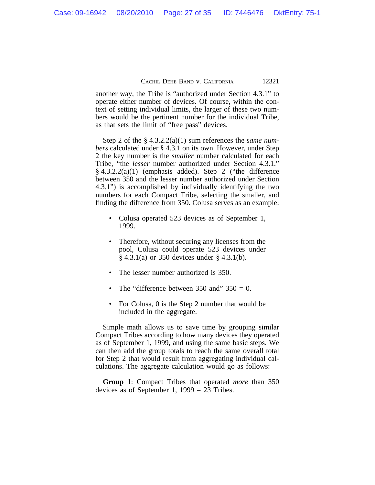another way, the Tribe is "authorized under Section 4.3.1" to operate either number of devices. Of course, within the context of setting individual limits, the larger of these two numbers would be the pertinent number for the individual Tribe, as that sets the limit of "free pass" devices.

Step 2 of the § 4.3.2.2(a)(1) sum references the *same numbers* calculated under § 4.3.1 on its own. However, under Step 2 the key number is the *smaller* number calculated for each Tribe, "the *lesser* number authorized under Section 4.3.1." § 4.3.2.2(a)(1) (emphasis added). Step 2 ("the difference between 350 and the lesser number authorized under Section 4.3.1") is accomplished by individually identifying the two numbers for each Compact Tribe, selecting the smaller, and finding the difference from 350. Colusa serves as an example:

- Colusa operated 523 devices as of September 1, 1999.
- Therefore, without securing any licenses from the pool, Colusa could operate 523 devices under § 4.3.1(a) or 350 devices under § 4.3.1(b).
- The lesser number authorized is 350.
- The "difference between 350 and"  $350 = 0$ .
- For Colusa, 0 is the Step 2 number that would be included in the aggregate.

Simple math allows us to save time by grouping similar Compact Tribes according to how many devices they operated as of September 1, 1999, and using the same basic steps. We can then add the group totals to reach the same overall total for Step 2 that would result from aggregating individual calculations. The aggregate calculation would go as follows:

**Group 1**: Compact Tribes that operated *more* than 350 devices as of September 1,  $1999 = 23$  Tribes.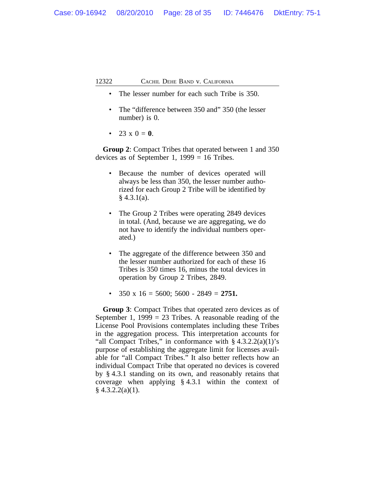- The lesser number for each such Tribe is 350.
- The "difference between 350 and" 350 (the lesser number) is 0.
- 23 x  $0 = 0$ .

**Group 2**: Compact Tribes that operated between 1 and 350 devices as of September 1,  $1999 = 16$  Tribes.

- Because the number of devices operated will always be less than 350, the lesser number authorized for each Group 2 Tribe will be identified by  $§$  4.3.1(a).
- The Group 2 Tribes were operating 2849 devices in total. (And, because we are aggregating, we do not have to identify the individual numbers operated.)
- The aggregate of the difference between 350 and the lesser number authorized for each of these 16 Tribes is 350 times 16, minus the total devices in operation by Group 2 Tribes, 2849.
- 350 x 16 = 5600; 5600 2849 = **2751.**

**Group 3**: Compact Tribes that operated zero devices as of September 1,  $1999 = 23$  Tribes. A reasonable reading of the License Pool Provisions contemplates including these Tribes in the aggregation process. This interpretation accounts for "all Compact Tribes," in conformance with  $\S 4.3.2.2(a)(1)$ 's purpose of establishing the aggregate limit for licenses available for "all Compact Tribes." It also better reflects how an individual Compact Tribe that operated no devices is covered by § 4.3.1 standing on its own, and reasonably retains that coverage when applying § 4.3.1 within the context of  $§$  4.3.2.2(a)(1).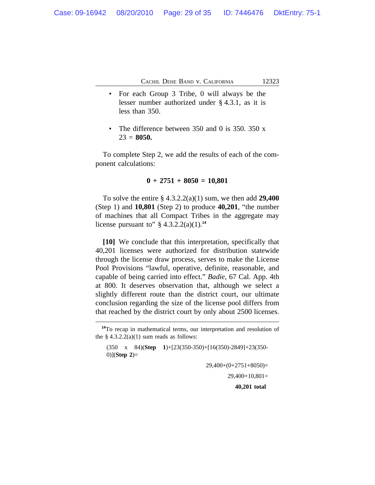- For each Group 3 Tribe, 0 will always be the lesser number authorized under § 4.3.1, as it is less than 350.
- The difference between  $350$  and 0 is  $350$ .  $350$  x  $23 = 8050$ .

To complete Step 2, we add the results of each of the component calculations:

#### **0 + 2751 + 8050 = 10,801**

To solve the entire § 4.3.2.2(a)(1) sum, we then add **29,400** (Step 1) and **10,801** (Step 2) to produce **40,201**, "the number of machines that all Compact Tribes in the aggregate may license pursuant to"  $\S 4.3.2.2(a)(1).$ <sup>14</sup>

**[10]** We conclude that this interpretation, specifically that 40,201 licenses were authorized for distribution statewide through the license draw process, serves to make the License Pool Provisions "lawful, operative, definite, reasonable, and capable of being carried into effect." *Badie*, 67 Cal. App. 4th at 800. It deserves observation that, although we select a slightly different route than the district court, our ultimate conclusion regarding the size of the license pool differs from that reached by the district court by only about 2500 licenses.

29,400+(0+2751+8050)=

29,400+10,801=

**40,201 total** 

**<sup>14</sup>**To recap in mathematical terms, our interpretation and resolution of the  $§$  4.3.2.2(a)(1) sum reads as follows:

<sup>(350</sup> x 84)(**Step 1**)+[23(350-350)+[16(350)-2849]+23(350- 0)](**Step 2**)=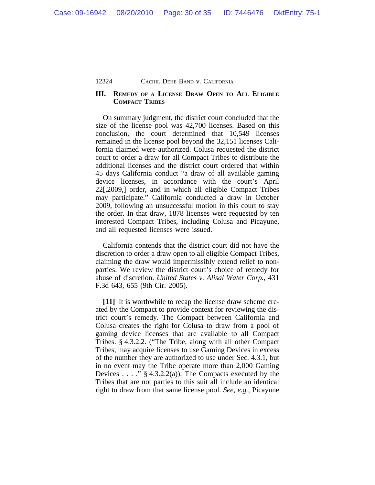# **III. REMEDY OF A LICENSE DRAW OPEN TO ALL ELIGIBLE COMPACT TRIBES**

On summary judgment, the district court concluded that the size of the license pool was 42,700 licenses. Based on this conclusion, the court determined that 10,549 licenses remained in the license pool beyond the 32,151 licenses California claimed were authorized. Colusa requested the district court to order a draw for all Compact Tribes to distribute the additional licenses and the district court ordered that within 45 days California conduct "a draw of all available gaming device licenses, in accordance with the court's April 22[,2009,] order, and in which all eligible Compact Tribes may participate." California conducted a draw in October 2009, following an unsuccessful motion in this court to stay the order. In that draw, 1878 licenses were requested by ten interested Compact Tribes, including Colusa and Picayune, and all requested licenses were issued.

California contends that the district court did not have the discretion to order a draw open to all eligible Compact Tribes, claiming the draw would impermissibly extend relief to nonparties. We review the district court's choice of remedy for abuse of discretion. *United States v. Alisal Water Corp.*, 431 F.3d 643, 655 (9th Cir. 2005).

**[11]** It is worthwhile to recap the license draw scheme created by the Compact to provide context for reviewing the district court's remedy. The Compact between California and Colusa creates the right for Colusa to draw from a pool of gaming device licenses that are available to all Compact Tribes. § 4.3.2.2. ("The Tribe, along with all other Compact Tribes, may acquire licenses to use Gaming Devices in excess of the number they are authorized to use under Sec. 4.3.1, but in no event may the Tribe operate more than 2,000 Gaming Devices . . . . "  $\S$  4.3.2.2(a)). The Compacts executed by the Tribes that are not parties to this suit all include an identical right to draw from that same license pool. *See, e.g.*, Picayune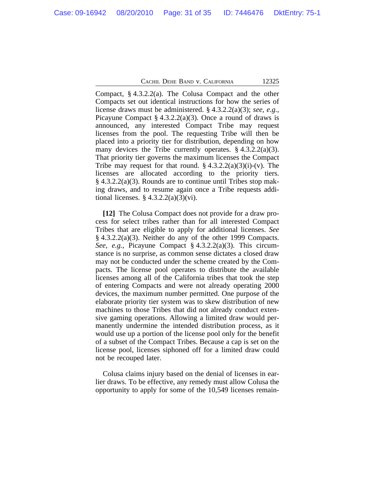Compact, § 4.3.2.2(a). The Colusa Compact and the other Compacts set out identical instructions for how the series of license draws must be administered. § 4.3.2.2(a)(3); *see, e.g.*, Picayune Compact  $\S$  4.3.2.2(a)(3). Once a round of draws is announced, any interested Compact Tribe may request licenses from the pool. The requesting Tribe will then be placed into a priority tier for distribution, depending on how many devices the Tribe currently operates.  $\S 4.3.2.2(a)(3)$ . That priority tier governs the maximum licenses the Compact Tribe may request for that round.  $§ 4.3.2.2(a)(3)(i)-(v)$ . The licenses are allocated according to the priority tiers. § 4.3.2.2(a)(3). Rounds are to continue until Tribes stop making draws, and to resume again once a Tribe requests additional licenses.  $\S$  4.3.2.2(a)(3)(vi).

**[12]** The Colusa Compact does not provide for a draw process for select tribes rather than for all interested Compact Tribes that are eligible to apply for additional licenses. *See*  $§$  4.3.2.2(a)(3). Neither do any of the other 1999 Compacts. *See, e.g.*, Picayune Compact § 4.3.2.2(a)(3). This circumstance is no surprise, as common sense dictates a closed draw may not be conducted under the scheme created by the Compacts. The license pool operates to distribute the available licenses among all of the California tribes that took the step of entering Compacts and were not already operating 2000 devices, the maximum number permitted. One purpose of the elaborate priority tier system was to skew distribution of new machines to those Tribes that did not already conduct extensive gaming operations. Allowing a limited draw would permanently undermine the intended distribution process, as it would use up a portion of the license pool only for the benefit of a subset of the Compact Tribes. Because a cap is set on the license pool, licenses siphoned off for a limited draw could not be recouped later.

Colusa claims injury based on the denial of licenses in earlier draws. To be effective, any remedy must allow Colusa the opportunity to apply for some of the 10,549 licenses remain-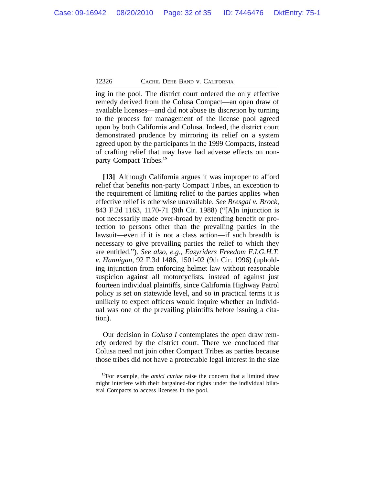ing in the pool. The district court ordered the only effective remedy derived from the Colusa Compact—an open draw of available licenses—and did not abuse its discretion by turning to the process for management of the license pool agreed upon by both California and Colusa. Indeed, the district court demonstrated prudence by mirroring its relief on a system agreed upon by the participants in the 1999 Compacts, instead of crafting relief that may have had adverse effects on nonparty Compact Tribes.**<sup>15</sup>**

**[13]** Although California argues it was improper to afford relief that benefits non-party Compact Tribes, an exception to the requirement of limiting relief to the parties applies when effective relief is otherwise unavailable. *See Bresgal v. Brock*, 843 F.2d 1163, 1170-71 (9th Cir. 1988) ("[A]n injunction is not necessarily made over-broad by extending benefit or protection to persons other than the prevailing parties in the lawsuit—even if it is not a class action—if such breadth is necessary to give prevailing parties the relief to which they are entitled."). *See also, e.g.*, *Easyriders Freedom F.I.G.H.T. v. Hannigan*, 92 F.3d 1486, 1501-02 (9th Cir. 1996) (upholding injunction from enforcing helmet law without reasonable suspicion against all motorcyclists, instead of against just fourteen individual plaintiffs, since California Highway Patrol policy is set on statewide level, and so in practical terms it is unlikely to expect officers would inquire whether an individual was one of the prevailing plaintiffs before issuing a citation).

Our decision in *Colusa I* contemplates the open draw remedy ordered by the district court. There we concluded that Colusa need not join other Compact Tribes as parties because those tribes did not have a protectable legal interest in the size

**<sup>15</sup>**For example, the *amici curiae* raise the concern that a limited draw might interfere with their bargained-for rights under the individual bilateral Compacts to access licenses in the pool.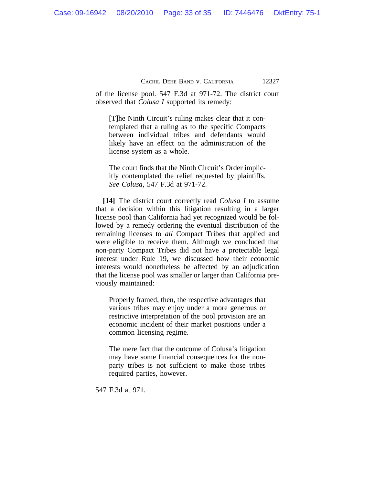of the license pool. 547 F.3d at 971-72. The district court observed that *Colusa I* supported its remedy:

[T]he Ninth Circuit's ruling makes clear that it contemplated that a ruling as to the specific Compacts between individual tribes and defendants would likely have an effect on the administration of the license system as a whole.

The court finds that the Ninth Circuit's Order implicitly contemplated the relief requested by plaintiffs. *See Colusa*, 547 F.3d at 971-72.

**[14]** The district court correctly read *Colusa I* to assume that a decision within this litigation resulting in a larger license pool than California had yet recognized would be followed by a remedy ordering the eventual distribution of the remaining licenses to *all* Compact Tribes that applied and were eligible to receive them. Although we concluded that non-party Compact Tribes did not have a protectable legal interest under Rule 19, we discussed how their economic interests would nonetheless be affected by an adjudication that the license pool was smaller or larger than California previously maintained:

Properly framed, then, the respective advantages that various tribes may enjoy under a more generous or restrictive interpretation of the pool provision are an economic incident of their market positions under a common licensing regime.

The mere fact that the outcome of Colusa's litigation may have some financial consequences for the nonparty tribes is not sufficient to make those tribes required parties, however.

547 F.3d at 971.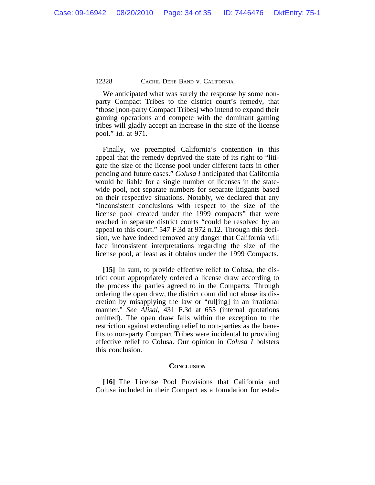We anticipated what was surely the response by some nonparty Compact Tribes to the district court's remedy, that "those [non-party Compact Tribes] who intend to expand their gaming operations and compete with the dominant gaming tribes will gladly accept an increase in the size of the license pool." *Id.* at 971.

Finally, we preempted California's contention in this appeal that the remedy deprived the state of its right to "litigate the size of the license pool under different facts in other pending and future cases." *Colusa I* anticipated that California would be liable for a single number of licenses in the statewide pool, not separate numbers for separate litigants based on their respective situations. Notably, we declared that any "inconsistent conclusions with respect to the size of the license pool created under the 1999 compacts" that were reached in separate district courts "could be resolved by an appeal to this court." 547 F.3d at 972 n.12. Through this decision, we have indeed removed any danger that California will face inconsistent interpretations regarding the size of the license pool, at least as it obtains under the 1999 Compacts.

**[15]** In sum, to provide effective relief to Colusa, the district court appropriately ordered a license draw according to the process the parties agreed to in the Compacts. Through ordering the open draw, the district court did not abuse its discretion by misapplying the law or "rul[ing] in an irrational manner." *See Alisal*, 431 F.3d at 655 (internal quotations omitted). The open draw falls within the exception to the restriction against extending relief to non-parties as the benefits to non-party Compact Tribes were incidental to providing effective relief to Colusa. Our opinion in *Colusa I* bolsters this conclusion.

# **CONCLUSION**

**[16]** The License Pool Provisions that California and Colusa included in their Compact as a foundation for estab-